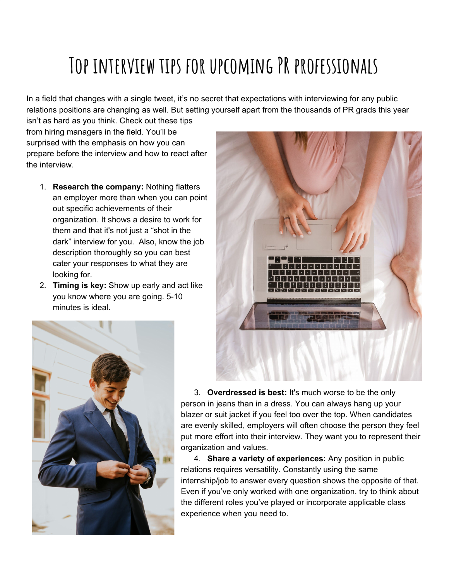## **Top interview tips for upcoming PR professionals**

In a field that changes with a single tweet, it's no secret that expectations with interviewing for any public relations positions are changing as well. But setting yourself apart from the thousands of PR grads this year

isn't as hard as you think. Check out these tips from hiring managers in the field. You'll be surprised with the emphasis on how you can prepare before the interview and how to react after the interview.

- 1. **Research the company:** Nothing flatters an employer more than when you can point out specific achievements of their organization. It shows a desire to work for them and that it's not just a "shot in the dark" interview for you. Also, know the job description thoroughly so you can best cater your responses to what they are looking for.
- 2. **Timing is key:** Show up early and act like you know where you are going. 5-10 minutes is ideal.





3. **Overdressed is best:** It's much worse to be the only person in jeans than in a dress. You can always hang up your blazer or suit jacket if you feel too over the top. When candidates are evenly skilled, employers will often choose the person they feel put more effort into their interview. They want you to represent their organization and values.

4. **Share a variety of experiences:** Any position in public relations requires versatility. Constantly using the same internship/job to answer every question shows the opposite of that. Even if you've only worked with one organization, try to think about the different roles you've played or incorporate applicable class experience when you need to.